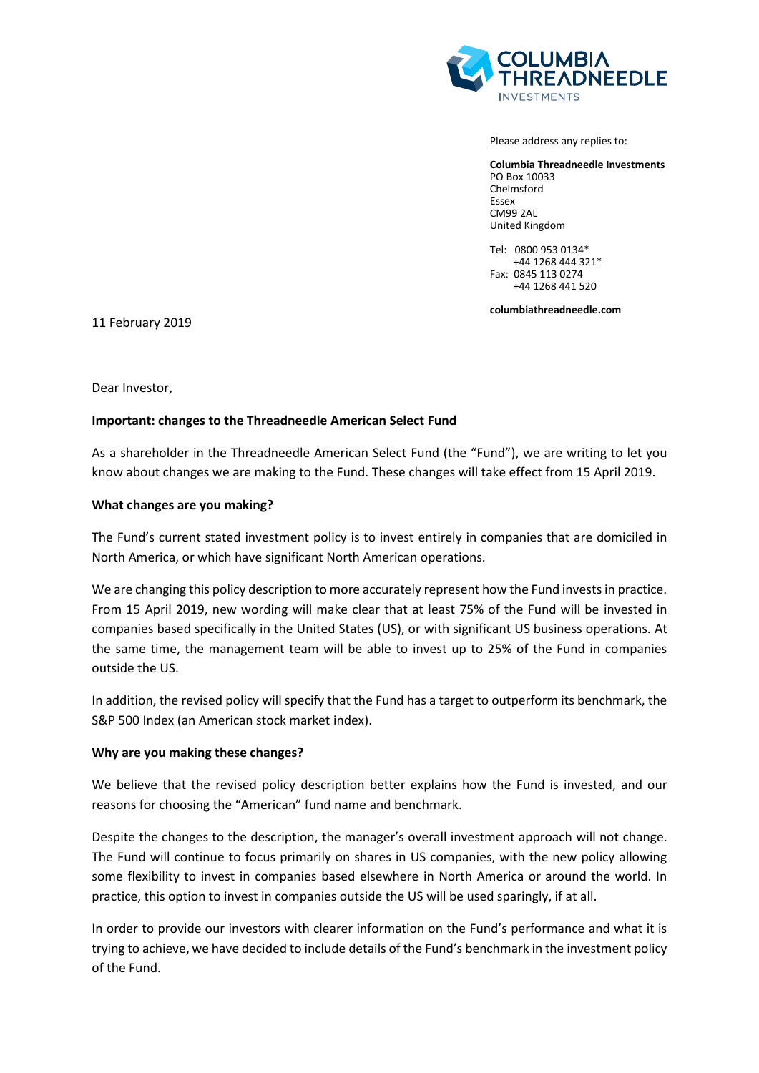

Please address any replies to:

**Columbia Threadneedle Investments** PO Box 10033 Chelmsford Essex CM99 2AL United Kingdom

Tel: 0800 953 0134\* +44 1268 444 321\* Fax: 0845 113 0274 +44 1268 441 520

**columbiathreadneedle.com**

11 February 2019

Dear Investor,

## **Important: changes to the Threadneedle American Select Fund**

As a shareholder in the Threadneedle American Select Fund (the "Fund"), we are writing to let you know about changes we are making to the Fund. These changes will take effect from 15 April 2019.

### **What changes are you making?**

The Fund's current stated investment policy is to invest entirely in companies that are domiciled in North America, or which have significant North American operations.

We are changing this policy description to more accurately represent how the Fund invests in practice. From 15 April 2019, new wording will make clear that at least 75% of the Fund will be invested in companies based specifically in the United States (US), or with significant US business operations. At the same time, the management team will be able to invest up to 25% of the Fund in companies outside the US.

In addition, the revised policy will specify that the Fund has a target to outperform its benchmark, the S&P 500 Index (an American stock market index).

#### **Why are you making these changes?**

We believe that the revised policy description better explains how the Fund is invested, and our reasons for choosing the "American" fund name and benchmark.

Despite the changes to the description, the manager's overall investment approach will not change. The Fund will continue to focus primarily on shares in US companies, with the new policy allowing some flexibility to invest in companies based elsewhere in North America or around the world. In practice, this option to invest in companies outside the US will be used sparingly, if at all.

In order to provide our investors with clearer information on the Fund's performance and what it is trying to achieve, we have decided to include details of the Fund's benchmark in the investment policy of the Fund.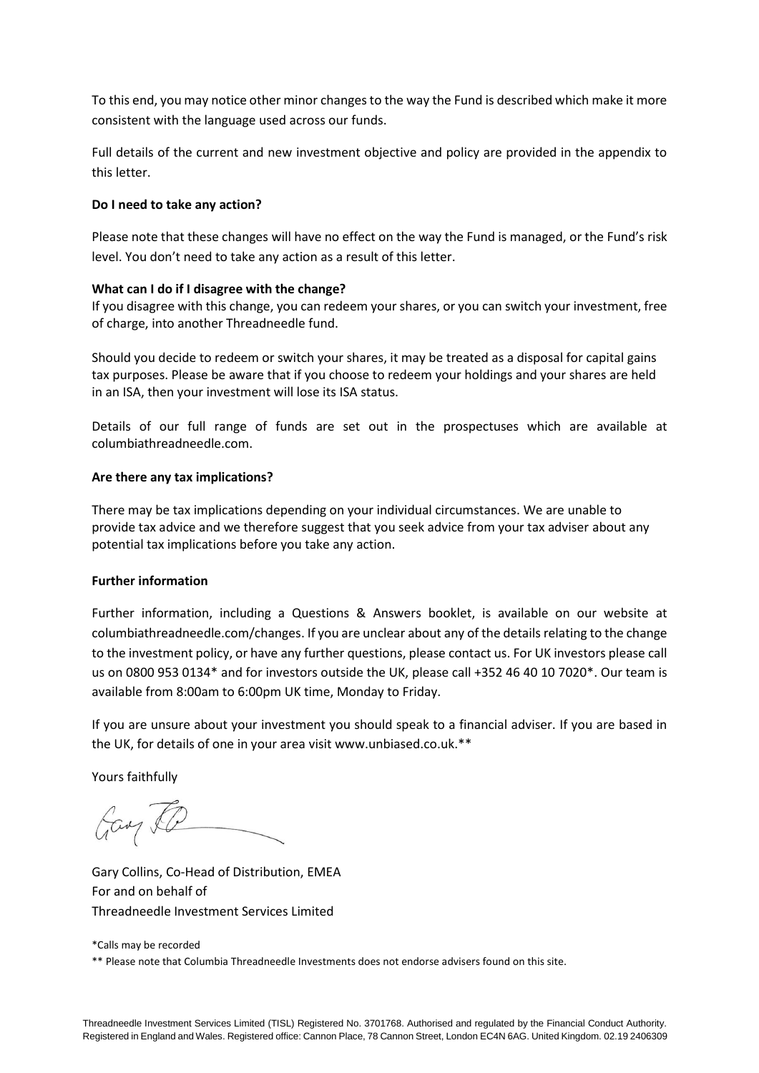To this end, you may notice other minor changes to the way the Fund is described which make it more consistent with the language used across our funds.

Full details of the current and new investment objective and policy are provided in the appendix to this letter.

## **Do I need to take any action?**

Please note that these changes will have no effect on the way the Fund is managed, or the Fund's risk level. You don't need to take any action as a result of this letter.

### **What can I do if I disagree with the change?**

If you disagree with this change, you can redeem your shares, or you can switch your investment, free of charge, into another Threadneedle fund.

Should you decide to redeem or switch your shares, it may be treated as a disposal for capital gains tax purposes. Please be aware that if you choose to redeem your holdings and your shares are held in an ISA, then your investment will lose its ISA status.

Details of our full range of funds are set out in the prospectuses which are available at columbiathreadneedle.com.

### **Are there any tax implications?**

There may be tax implications depending on your individual circumstances. We are unable to provide tax advice and we therefore suggest that you seek advice from your tax adviser about any potential tax implications before you take any action.

## **Further information**

Further information, including a Questions & Answers booklet, is available on our website at columbiathreadneedle.com/changes. If you are unclear about any of the details relating to the change to the investment policy, or have any further questions, please contact us. For UK investors please call us on 0800 953 0134\* and for investors outside the UK, please call +352 46 40 10 7020\*. Our team is available from 8:00am to 6:00pm UK time, Monday to Friday.

If you are unsure about your investment you should speak to a financial adviser. If you are based in the UK, for details of one in your area visit [www.unbiased.co.uk.\\*\\*](http://www.unbiased.co.uk.**/)

Yours faithfully

Gay &P

Gary Collins, Co-Head of Distribution, EMEA For and on behalf of Threadneedle Investment Services Limited

\*Calls may be recorded

\*\* Please note that Columbia Threadneedle Investments does not endorse advisers found on this site.